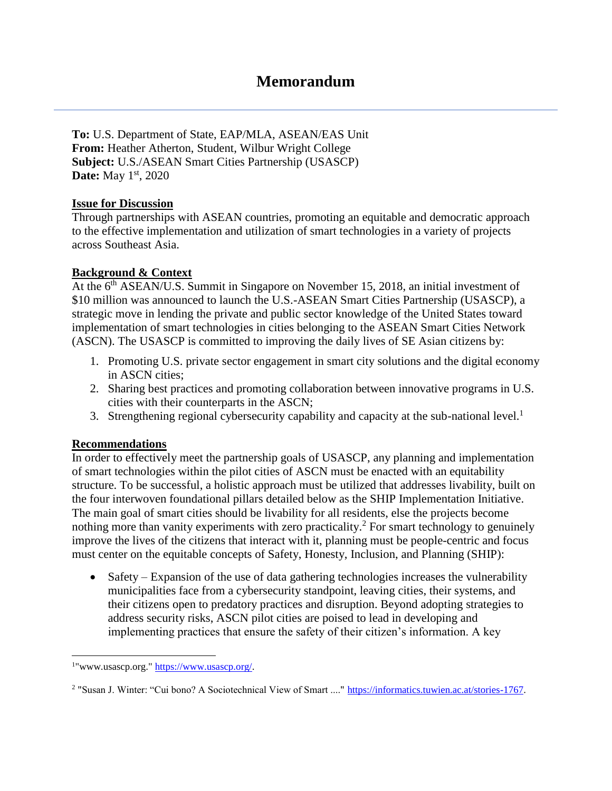# **Memorandum**

**To:** U.S. Department of State, EAP/MLA, ASEAN/EAS Unit **From:** Heather Atherton, Student, Wilbur Wright College **Subject:** U.S./ASEAN Smart Cities Partnership (USASCP) **Date:** May 1<sup>st</sup>, 2020

## **Issue for Discussion**

Through partnerships with ASEAN countries, promoting an equitable and democratic approach to the effective implementation and utilization of smart technologies in a variety of projects across Southeast Asia.

## **Background & Context**

At the  $6<sup>th</sup>$  ASEAN/U.S. Summit in Singapore on November 15, 2018, an initial investment of \$10 million was announced to launch the U.S.-ASEAN Smart Cities Partnership (USASCP), a strategic move in lending the private and public sector knowledge of the United States toward implementation of smart technologies in cities belonging to the ASEAN Smart Cities Network (ASCN). The USASCP is committed to improving the daily lives of SE Asian citizens by:

- 1. Promoting U.S. private sector engagement in smart city solutions and the digital economy in ASCN cities;
- 2. Sharing best practices and promoting collaboration between innovative programs in U.S. cities with their counterparts in the ASCN;
- 3. Strengthening regional cybersecurity capability and capacity at the sub-national level.<sup>1</sup>

## **Recommendations**

l

In order to effectively meet the partnership goals of USASCP, any planning and implementation of smart technologies within the pilot cities of ASCN must be enacted with an equitability structure. To be successful, a holistic approach must be utilized that addresses livability, built on the four interwoven foundational pillars detailed below as the SHIP Implementation Initiative. The main goal of smart cities should be livability for all residents, else the projects become nothing more than vanity experiments with zero practicality.<sup>2</sup> For smart technology to genuinely improve the lives of the citizens that interact with it, planning must be people-centric and focus must center on the equitable concepts of Safety, Honesty, Inclusion, and Planning (SHIP):

 Safety – Expansion of the use of data gathering technologies increases the vulnerability municipalities face from a cybersecurity standpoint, leaving cities, their systems, and their citizens open to predatory practices and disruption. Beyond adopting strategies to address security risks, ASCN pilot cities are poised to lead in developing and implementing practices that ensure the safety of their citizen's information. A key

<sup>&</sup>lt;sup>1</sup>"www.usascp.org." [https://www.usascp.org/.](https://www.usascp.org/)

<sup>&</sup>lt;sup>2</sup> "Susan J. Winter: "Cui bono? A Sociotechnical View of Smart ...." [https://informatics.tuwien.ac.at/stories-1767.](https://informatics.tuwien.ac.at/stories-1767)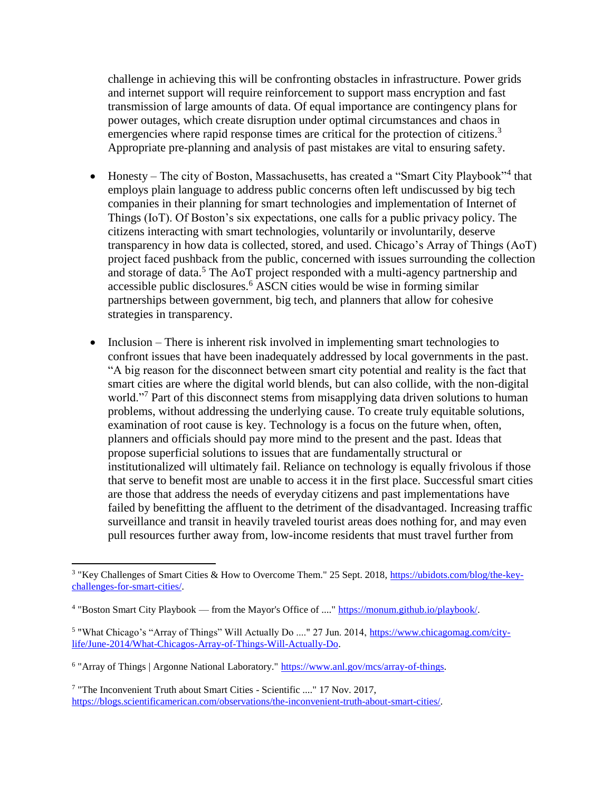challenge in achieving this will be confronting obstacles in infrastructure. Power grids and internet support will require reinforcement to support mass encryption and fast transmission of large amounts of data. Of equal importance are contingency plans for power outages, which create disruption under optimal circumstances and chaos in emergencies where rapid response times are critical for the protection of citizens.<sup>3</sup> Appropriate pre-planning and analysis of past mistakes are vital to ensuring safety.

- Honesty The city of Boston, Massachusetts, has created a "Smart City Playbook"<sup>4</sup> that employs plain language to address public concerns often left undiscussed by big tech companies in their planning for smart technologies and implementation of Internet of Things (IoT). Of Boston's six expectations, one calls for a public privacy policy. The citizens interacting with smart technologies, voluntarily or involuntarily, deserve transparency in how data is collected, stored, and used. Chicago's Array of Things (AoT) project faced pushback from the public, concerned with issues surrounding the collection and storage of data.<sup>5</sup> The AoT project responded with a multi-agency partnership and accessible public disclosures.<sup>6</sup> ASCN cities would be wise in forming similar partnerships between government, big tech, and planners that allow for cohesive strategies in transparency.
- Inclusion There is inherent risk involved in implementing smart technologies to confront issues that have been inadequately addressed by local governments in the past. "A big reason for the disconnect between smart city potential and reality is the fact that smart cities are where the digital world blends, but can also collide, with the non-digital world."<sup>7</sup> Part of this disconnect stems from misapplying data driven solutions to human problems, without addressing the underlying cause. To create truly equitable solutions, examination of root cause is key. Technology is a focus on the future when, often, planners and officials should pay more mind to the present and the past. Ideas that propose superficial solutions to issues that are fundamentally structural or institutionalized will ultimately fail. Reliance on technology is equally frivolous if those that serve to benefit most are unable to access it in the first place. Successful smart cities are those that address the needs of everyday citizens and past implementations have failed by benefitting the affluent to the detriment of the disadvantaged. Increasing traffic surveillance and transit in heavily traveled tourist areas does nothing for, and may even pull resources further away from, low-income residents that must travel further from

 $\overline{\phantom{a}}$ 

<sup>&</sup>lt;sup>3</sup> "Key Challenges of Smart Cities & How to Overcome Them." 25 Sept. 2018, [https://ubidots.com/blog/the-key](https://ubidots.com/blog/the-key-challenges-for-smart-cities/)[challenges-for-smart-cities/.](https://ubidots.com/blog/the-key-challenges-for-smart-cities/)

<sup>&</sup>lt;sup>4</sup> "Boston Smart City Playbook — from the Mayor's Office of ...." [https://monum.github.io/playbook/.](https://monum.github.io/playbook/)

<sup>&</sup>lt;sup>5</sup> "What Chicago's "Array of Things" Will Actually Do ...." 27 Jun. 2014, [https://www.chicagomag.com/city](https://www.chicagomag.com/city-life/June-2014/What-Chicagos-Array-of-Things-Will-Actually-Do)[life/June-2014/What-Chicagos-Array-of-Things-Will-Actually-Do.](https://www.chicagomag.com/city-life/June-2014/What-Chicagos-Array-of-Things-Will-Actually-Do)

<sup>&</sup>lt;sup>6</sup> "Array of Things | Argonne National Laboratory." [https://www.anl.gov/mcs/array-of-things.](https://www.anl.gov/mcs/array-of-things)

<sup>&</sup>lt;sup>7</sup> "The Inconvenient Truth about Smart Cities - Scientific ...." 17 Nov. 2017, [https://blogs.scientificamerican.com/observations/the-inconvenient-truth-about-smart-cities/.](https://blogs.scientificamerican.com/observations/the-inconvenient-truth-about-smart-cities/)